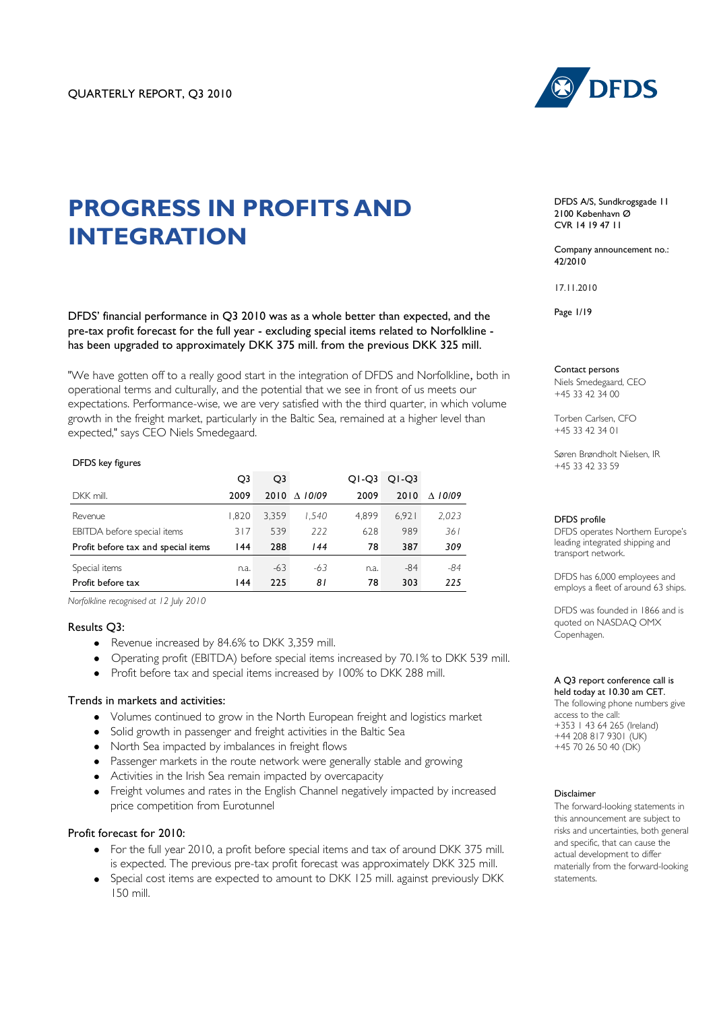

# **PROGRESS IN PROFITS AND INTEGRATION**

DFDS' financial performance in Q3 2010 was as a whole better than expected, and the pre-tax profit forecast for the full year - excluding special items related to Norfolkline has been upgraded to approximately DKK 375 mill. from the previous DKK 325 mill.

"We have gotten off to a really good start in the integration of DFDS and Norfolkline, both in operational terms and culturally, and the potential that we see in front of us meets our expectations. Performance-wise, we are very satisfied with the third quarter, in which volume growth in the freight market, particularly in the Baltic Sea, remained at a higher level than expected," says CEO Niels Smedegaard.

#### DFDS key figures

|                                     | O <sub>3</sub> | O3    |                   | $Q1-Q3$ | $O -O3$ |                    |
|-------------------------------------|----------------|-------|-------------------|---------|---------|--------------------|
| DKK mill.                           | 2009           | 2010  | $\triangle$ 10/09 | 2009    | 2010    | 10/09<br>$\Lambda$ |
| Revenue                             | 1.820          | 3.359 | 1.540             | 4.899   | 6.921   | 2,023              |
| EBITDA before special items         | 317            | 539   | 222               | 628     | 989     | 361                |
| Profit before tax and special items | 144            | 288   | 144               | 78      | 387     | 309                |
| Special items                       | n.a.           | $-63$ | -63               | n.a.    | $-84$   | $-84$              |
| Profit before tax                   | 144            | 225   | 81                | 78      | 303     | 225                |

*Norfolkline recognised at 12 July 2010*

#### Results Q3:

- Revenue increased by 84.6% to DKK 3.359 mill.
- Operating profit (EBITDA) before special items increased by 70.1% to DKK 539 mill.
- Profit before tax and special items increased by 100% to DKK 288 mill.

#### Trends in markets and activities:

- Volumes continued to grow in the North European freight and logistics market
- Solid growth in passenger and freight activities in the Baltic Sea
- North Sea impacted by imbalances in freight flows
- Passenger markets in the route network were generally stable and growing
- Activities in the Irish Sea remain impacted by overcapacity
- Freight volumes and rates in the English Channel negatively impacted by increased price competition from Eurotunnel

### Profit forecast for 2010:

- For the full year 2010, a profit before special items and tax of around DKK 375 mill. is expected. The previous pre-tax profit forecast was approximately DKK 325 mill.
- Special cost items are expected to amount to DKK 125 mill. against previously DKK 150 mill.

DFDS A/S, Sundkrogsgade 11 2100 København Ø CVR 14 19 47 11

Company announcement no.:  $42/2010$ 

17.11.2010

Page 1/19

#### Contact persons

Niels Smedegaard, CEO +45 33 42 34 00

Torben Carlsen, CFO +45 33 42 34 01

Søren Brøndholt Nielsen, IR +45 33 42 33 59

#### DFDS profile

DFDS operates Northern Europe"s leading integrated shipping and transport network.

DFDS has 6,000 employees and employs a fleet of around 63 ships.

DFDS was founded in 1866 and is quoted on NASDAQ OMX Copenhagen.

A Q3 report conference call is held today at 10.30 am CET.

The following phone numbers give access to the call: +353 1 43 64 265 (Ireland) +44 208 817 9301 (UK) +45 70 26 50 40 (DK)

#### Disclaimer

The forward-looking statements in this announcement are subject to risks and uncertainties, both general and specific, that can cause the actual development to differ materially from the forward-looking statements.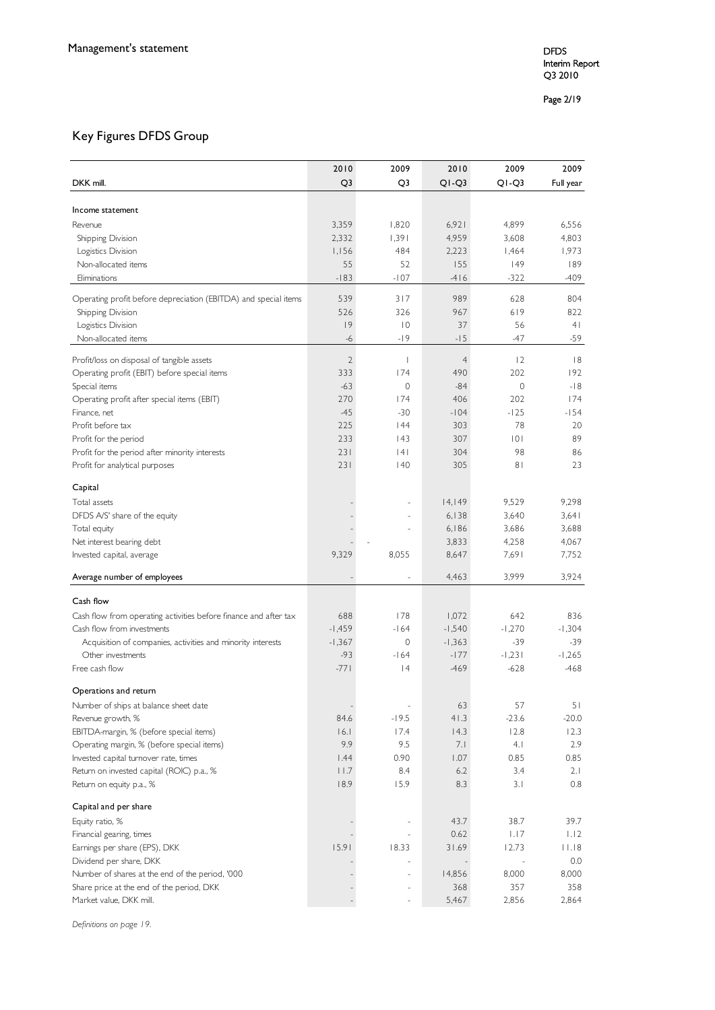#### Page 2 /19

## Key Figures DFDS Group

|                                                                         | 2010           | 2009           | 2010           | 2009           | 2009           |
|-------------------------------------------------------------------------|----------------|----------------|----------------|----------------|----------------|
| DKK mill.                                                               | Q <sub>3</sub> | Q3             | $Q1-Q3$        | $Q1-Q3$        | Full year      |
|                                                                         |                |                |                |                |                |
| Income statement                                                        |                |                |                |                |                |
| Revenue                                                                 | 3,359          | 1,820          | 6,921          | 4,899          | 6,556          |
| Shipping Division                                                       | 2,332          | 1,391          | 4,959          | 3,608          | 4,803          |
| Logistics Division                                                      | 1,156          | 484            | 2,223          | 1,464          | 1,973          |
| Non-allocated items                                                     | 55             | 52             | 155            | 49             | 189            |
| Eliminations                                                            | $-183$         | $-107$         | $-416$         | $-322$         | -409           |
| Operating profit before depreciation (EBITDA) and special items         | 539            | 317            | 989            | 628            | 804            |
| Shipping Division                                                       | 526            | 326            | 967            | 619            | 822            |
| Logistics Division                                                      | 9              | $\overline{0}$ | 37             | 56             | 4 <sub>1</sub> |
| Non-allocated items                                                     | -6             | $-19$          | $-15$          | -47            | $-59$          |
|                                                                         |                |                |                |                |                |
| Profit/loss on disposal of tangible assets                              | $\overline{2}$ | $\mathbf{I}$   | $\overline{4}$ | 2              | 8              |
| Operating profit (EBIT) before special items                            | 333            | 174            | 490            | 202            | 192            |
| Special items                                                           | $-63$          | 0              | $-84$          | $\mathbf{0}$   | $-18$          |
| Operating profit after special items (EBIT)                             | 270<br>$-45$   | 174<br>$-30$   | 406            | 202<br>$-125$  | 174<br>$-154$  |
| Finance, net<br>Profit before tax                                       | 225            |                | $-104$<br>303  | 78             |                |
|                                                                         | 233            | 44<br> 43      | 307            | 0              | 20<br>89       |
| Profit for the period<br>Profit for the period after minority interests | 231            | 4              | 304            | 98             | 86             |
| Profit for analytical purposes                                          | 231            | 40             | 305            | 8 <sub>1</sub> | 23             |
|                                                                         |                |                |                |                |                |
| Capital                                                                 |                |                |                |                |                |
| Total assets                                                            |                |                | 14,149         | 9,529          | 9,298          |
| DFDS A/S' share of the equity                                           |                |                | 6,138          | 3,640          | 3,641          |
| Total equity                                                            |                |                | 6,186          | 3,686          | 3,688          |
| Net interest bearing debt                                               |                |                | 3,833          | 4,258          | 4,067          |
| Invested capital, average                                               | 9,329          | 8,055          | 8,647          | 7,691          | 7,752          |
| Average number of employees                                             |                |                | 4,463          | 3,999          | 3,924          |
|                                                                         |                |                |                |                |                |
| Cash flow                                                               |                |                |                |                |                |
| Cash flow from operating activities before finance and after tax        | 688            | 178            | 1,072          | 642            | 836            |
| Cash flow from investments                                              | $-1,459$       | $-164$         | $-1,540$       | $-1,270$       | $-1,304$       |
| Acquisition of companies, activities and minority interests             | $-1,367$       | 0              | $-1,363$       | $-39$          | $-39$          |
| Other investments                                                       | $-93$          | $-164$         | $-177$         | $-1,231$       | $-1,265$       |
| Free cash flow                                                          | $-771$         | 4              | $-469$         | $-628$         | $-468$         |
| Operations and return                                                   |                |                |                |                |                |
| Number of ships at balance sheet date                                   |                |                | 63             | 57             | 51             |
| Revenue growth, %                                                       | 84.6           | $-19.5$        | 41.3           | $-23.6$        | $-20.0$        |
| EBITDA-margin, % (before special items)                                 | 16.1           | 17.4           | 14.3           | 12.8           | 12.3           |
| Operating margin, % (before special items)                              | 9.9            | 9.5            | 7.1            | 4.1            | 2.9            |
| Invested capital turnover rate, times                                   | 1.44           | 0.90           | 1.07           | 0.85           | 0.85           |
| Return on invested capital (ROIC) p.a., %                               | 11.7           | 8.4            | 6.2            | 3.4            | 2.1            |
| Return on equity p.a., %                                                | 18.9           | 15.9           | 8.3            | 3.1            | 0.8            |
| Capital and per share                                                   |                |                |                |                |                |
| Equity ratio, %                                                         |                |                | 43.7           | 38.7           | 39.7           |
| Financial gearing, times                                                |                |                | 0.62           | 1.17           | 1.12           |
| Earnings per share (EPS), DKK                                           | 15.91          | 18.33          | 31.69          | 12.73          | 11.18          |
| Dividend per share, DKK                                                 |                |                |                |                | 0.0            |
| Number of shares at the end of the period, '000                         |                |                | 14,856         | 8,000          | 8,000          |
| Share price at the end of the period, DKK                               |                |                | 368            | 357            | 358            |
| Market value, DKK mill.                                                 |                |                | 5,467          | 2,856          | 2,864          |

*Definitions on page 19.*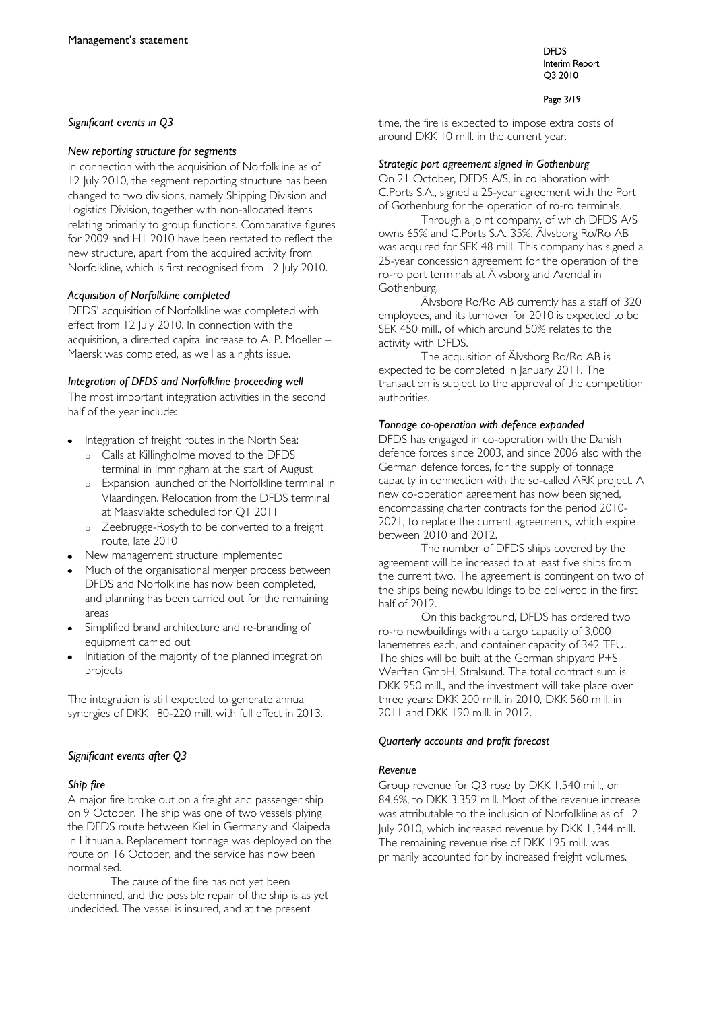## *Significant events in Q3*

### *New reporting structure for segments*

In connection with the acquisition of Norfolkline as of 12 July 2010, the segment reporting structure has been changed to two divisions, namely Shipping Division and Logistics Division, together with non-allocated items relating primarily to group functions. Comparative figures for 2009 and H1 2010 have been restated to reflect the new structure, apart from the acquired activity from Norfolkline, which is first recognised from 12 July 2010.

## *Acquisition of Norfolkline completed*

DFDS' acquisition of Norfolkline was completed with effect from 12 July 2010. In connection with the acquisition, a directed capital increase to A. P. Moeller – Maersk was completed, as well as a rights issue.

## *Integration of DFDS and Norfolkline proceeding well*

The most important integration activities in the second half of the year include:

- Integration of freight routes in the North Sea:
	- o Calls at Killingholme moved to the DFDS terminal in Immingham at the start of August
	- o Expansion launched of the Norfolkline terminal in Vlaardingen. Relocation from the DFDS terminal at Maasvlakte scheduled for Q1 2011
	- o Zeebrugge-Rosyth to be converted to a freight route, late 2010
- New management structure implemented
- Much of the organisational merger process between DFDS and Norfolkline has now been completed, and planning has been carried out for the remaining areas
- Simplified brand architecture and re-branding of equipment carried out
- Initiation of the majority of the planned integration projects

The integration is still expected to generate annual synergies of DKK 180-220 mill. with full effect in 2013.

## *Significant events after Q3*

## *Ship fire*

A major fire broke out on a freight and passenger ship on 9 October. The ship was one of two vessels plying the DFDS route between Kiel in Germany and Klaipeda in Lithuania. Replacement tonnage was deployed on the route on 16 October, and the service has now been normalised.

The cause of the fire has not yet been determined, and the possible repair of the ship is as yet undecided. The vessel is insured, and at the present

DFDS Interim Report Q3 2010

#### Page 3/19

time, the fire is expected to impose extra costs of around DKK 10 mill. in the current year.

### *Strategic port agreement signed in Gothenburg*

On 21 October, DFDS A/S, in collaboration with C.Ports S.A., signed a 25-year agreement with the Port of Gothenburg for the operation of ro-ro terminals.

Through a joint company, of which DFDS A/S owns 65% and C.Ports S.A. 35%, Älvsborg Ro/Ro AB was acquired for SEK 48 mill. This company has signed a 25-year concession agreement for the operation of the ro-ro port terminals at Älvsborg and Arendal in Gothenburg.

Älvsborg Ro/Ro AB currently has a staff of 320 employees, and its turnover for 2010 is expected to be SEK 450 mill., of which around 50% relates to the activity with DFDS.

The acquisition of Älvsborg Ro/Ro AB is expected to be completed in January 2011. The transaction is subject to the approval of the competition authorities.

## *Tonnage co-operation with defence expanded*

DFDS has engaged in co-operation with the Danish defence forces since 2003, and since 2006 also with the German defence forces, for the supply of tonnage capacity in connection with the so-called ARK project. A new co-operation agreement has now been signed, encompassing charter contracts for the period 2010- 2021, to replace the current agreements, which expire between 2010 and 2012.

The number of DFDS ships covered by the agreement will be increased to at least five ships from the current two. The agreement is contingent on two of the ships being newbuildings to be delivered in the first half of 2012.

On this background, DFDS has ordered two ro-ro newbuildings with a cargo capacity of 3,000 lanemetres each, and container capacity of 342 TEU. The ships will be built at the German shipyard P+S Werften GmbH, Stralsund. The total contract sum is DKK 950 mill., and the investment will take place over three years: DKK 200 mill. in 2010, DKK 560 mill. in 2011 and DKK 190 mill. in 2012.

## *Quarterly accounts and profit forecast*

## *Revenue*

Group revenue for Q3 rose by DKK 1,540 mill., or 84.6%, to DKK 3,359 mill. Most of the revenue increase was attributable to the inclusion of Norfolkline as of 12 July 2010, which increased revenue by DKK 1,344 mill. The remaining revenue rise of DKK 195 mill. was primarily accounted for by increased freight volumes.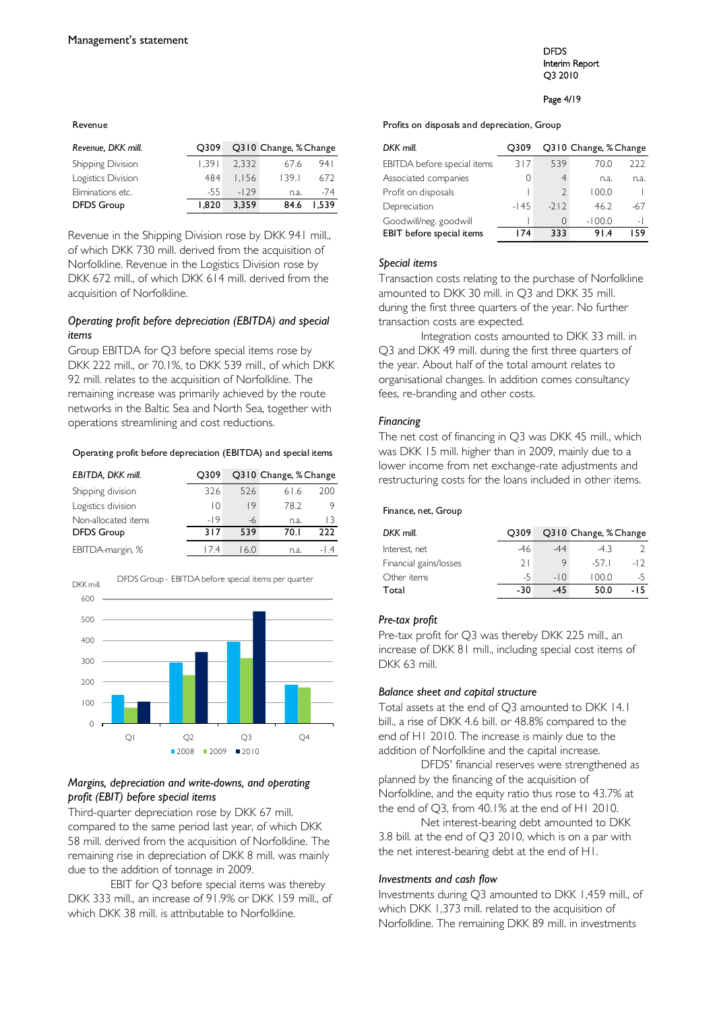#### Revenue

| Revenue, DKK mill. | O309  |        | Q310 Change, % Change |       |
|--------------------|-------|--------|-----------------------|-------|
| Shipping Division  | 1.391 | 2.332  | 67.6                  | 941   |
| Logistics Division | 484   | I.I56  | 139.1                 | 672   |
| Eliminations etc.  | -55   | $-129$ | n.a.                  | $-74$ |
| <b>DFDS Group</b>  | 1.820 | 3.359  | 84.6                  | 1.539 |

Revenue in the Shipping Division rose by DKK 941 mill., of which DKK 730 mill. derived from the acquisition of Norfolkline. Revenue in the Logistics Division rose by DKK 672 mill., of which DKK 614 mill. derived from the acquisition of Norfolkline.

## *Operating profit before depreciation (EBITDA) and special items*

Group EBITDA for Q3 before special items rose by DKK 222 mill., or 70.1%, to DKK 539 mill., of which DKK 92 mill. relates to the acquisition of Norfolkline. The remaining increase was primarily achieved by the route networks in the Baltic Sea and North Sea, together with operations streamlining and cost reductions.

#### Operating profit before depreciation (EBITDA) and special items

| EBITDA, DKK mill.   | O309  |      | Q310 Change, % Change |     |
|---------------------|-------|------|-----------------------|-----|
| Shipping division   | 326   | 526  | 61.6                  | 200 |
| Logistics division  | 10    | 9    | 78.2                  | 9   |
| Non-allocated items | $-19$ | $-6$ | n.a.                  | 13  |
| <b>DFDS</b> Group   | 317   | 539  | 70.I                  | ววว |
| EBITDA-margin, %    | 174   | 160  | n.a.                  |     |



### *Margins, depreciation and write-downs, and operating profit (EBIT) before special items*

Third-quarter depreciation rose by DKK 67 mill. compared to the same period last year, of which DKK 58 mill. derived from the acquisition of Norfolkline. The remaining rise in depreciation of DKK 8 mill. was mainly due to the addition of tonnage in 2009.

EBIT for Q3 before special items was thereby DKK 333 mill., an increase of 91.9% or DKK 159 mill., of which DKK 38 mill. is attributable to Norfolkline.

#### DFDS Interim Report Q3 2010

#### Page 4/19

#### Profits on disposals and depreciation, Group

| DKK mill.                   | O309   |               | Q310 Change, % Change |                |  |  |  |
|-----------------------------|--------|---------------|-----------------------|----------------|--|--|--|
| EBITDA before special items | 317    | 539           | 70.0                  | 222            |  |  |  |
| Associated companies        | 0      | 4             | n.a.                  | n.a.           |  |  |  |
| Profit on disposals         |        | $\mathcal{D}$ | 100.0                 |                |  |  |  |
| Depreciation                | $-145$ | $-212$        | 46.2                  | -67            |  |  |  |
| Goodwill/neg. goodwill      |        | Ω             | $-100.0$              | $\overline{a}$ |  |  |  |
| EBIT before special items   | 174    | 333           | 91.4                  | 159            |  |  |  |

#### *Special items*

Transaction costs relating to the purchase of Norfolkline amounted to DKK 30 mill. in Q3 and DKK 35 mill. during the first three quarters of the year. No further transaction costs are expected.

Integration costs amounted to DKK 33 mill. in Q3 and DKK 49 mill. during the first three quarters of the year. About half of the total amount relates to organisational changes. In addition comes consultancy fees, re-branding and other costs.

### *Financing*

The net cost of financing in Q3 was DKK 45 mill., which was DKK 15 mill. higher than in 2009, mainly due to a lower income from net exchange-rate adjustments and restructuring costs for the loans included in other items.

#### Finance, net, Group

| DKK mill.              | O309 |       | Q310 Change, % Change |       |
|------------------------|------|-------|-----------------------|-------|
| Interest, net          | -46  | .44   | -43                   |       |
| Financial gains/losses | 21   |       | $-571$                | $-12$ |
| Other items            | -5   | $-10$ | 100.0                 | -5    |
| Total                  | -30  | .45   | 50.0                  | -15   |

#### *Pre-tax profit*

Pre-tax profit for Q3 was thereby DKK 225 mill., an increase of DKK 81 mill., including special cost items of DKK 63 mill.

#### *Balance sheet and capital structure*

Total assets at the end of Q3 amounted to DKK 14.1 bill., a rise of DKK 4.6 bill. or 48.8% compared to the end of H1 2010. The increase is mainly due to the addition of Norfolkline and the capital increase.

DFDS' financial reserves were strengthened as planned by the financing of the acquisition of Norfolkline, and the equity ratio thus rose to 43.7% at the end of Q3, from 40.1% at the end of H1 2010.

Net interest-bearing debt amounted to DKK 3.8 bill. at the end of Q3 2010, which is on a par with the net interest-bearing debt at the end of H1.

#### *Investments and cash flow*

Investments during Q3 amounted to DKK 1,459 mill., of which DKK 1,373 mill. related to the acquisition of Norfolkline. The remaining DKK 89 mill. in investments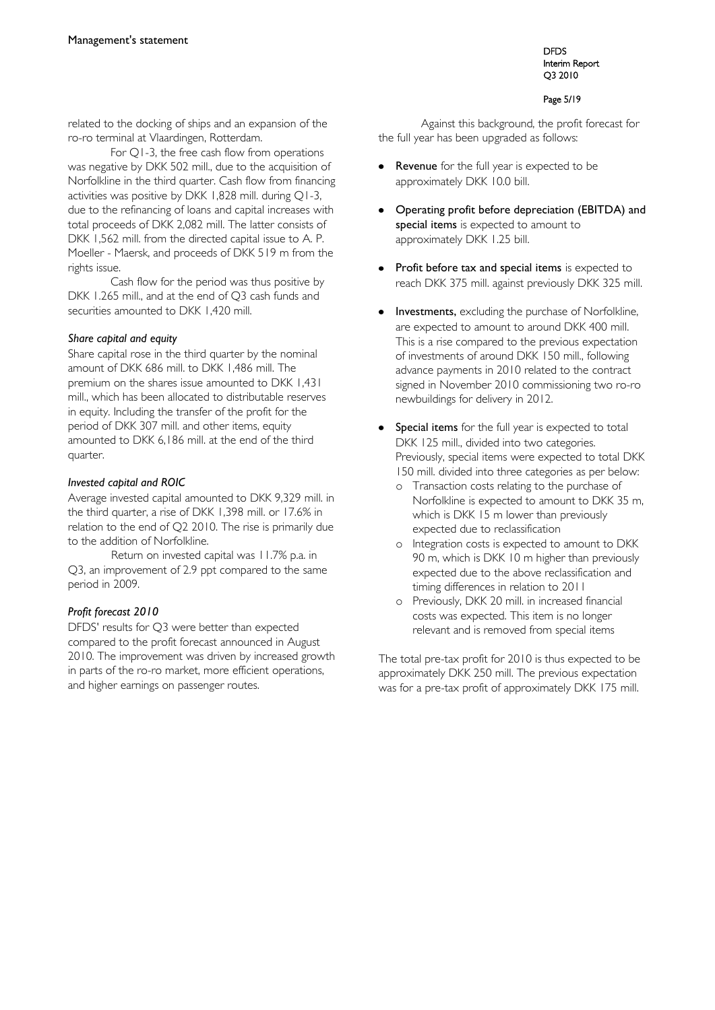#### DFDS Interim Report Q3 2010

#### Page 5/19

related to the docking of ships and an expansion of the ro-ro terminal at Vlaardingen, Rotterdam.

For Q1-3, the free cash flow from operations was negative by DKK 502 mill., due to the acquisition of Norfolkline in the third quarter. Cash flow from financing activities was positive by DKK 1,828 mill. during Q1-3, due to the refinancing of loans and capital increases with total proceeds of DKK 2,082 mill. The latter consists of DKK 1,562 mill. from the directed capital issue to A. P. Moeller - Maersk, and proceeds of DKK 519 m from the rights issue.

Cash flow for the period was thus positive by DKK 1.265 mill., and at the end of Q3 cash funds and securities amounted to DKK 1,420 mill.

## *Share capital and equity*

Share capital rose in the third quarter by the nominal amount of DKK 686 mill. to DKK 1,486 mill. The premium on the shares issue amounted to DKK 1,431 mill., which has been allocated to distributable reserves in equity. Including the transfer of the profit for the period of DKK 307 mill. and other items, equity amounted to DKK 6,186 mill. at the end of the third quarter.

## *Invested capital and ROIC*

Average invested capital amounted to DKK 9,329 mill. in the third quarter, a rise of DKK 1,398 mill. or 17.6% in relation to the end of Q2 2010. The rise is primarily due to the addition of Norfolkline.

Return on invested capital was 11.7% p.a. in Q3, an improvement of 2.9 ppt compared to the same period in 2009.

## *Profit forecast 2010*

DFDS' results for Q3 were better than expected compared to the profit forecast announced in August 2010. The improvement was driven by increased growth in parts of the ro-ro market, more efficient operations, and higher earnings on passenger routes.

Against this background, the profit forecast for the full year has been upgraded as follows:

- Revenue for the full year is expected to be approximately DKK 10.0 bill.
- Operating profit before depreciation (EBITDA) and special items is expected to amount to approximately DKK 1.25 bill.
- Profit before tax and special items is expected to reach DKK 375 mill. against previously DKK 325 mill.
- Investments, excluding the purchase of Norfolkline, are expected to amount to around DKK 400 mill. This is a rise compared to the previous expectation of investments of around DKK 150 mill., following advance payments in 2010 related to the contract signed in November 2010 commissioning two ro-ro newbuildings for delivery in 2012.
- Special items for the full year is expected to total DKK 125 mill., divided into two categories. Previously, special items were expected to total DKK 150 mill. divided into three categories as per below:
	- o Transaction costs relating to the purchase of Norfolkline is expected to amount to DKK 35 m, which is DKK 15 m lower than previously expected due to reclassification
	- o Integration costs is expected to amount to DKK 90 m, which is DKK 10 m higher than previously expected due to the above reclassification and timing differences in relation to 2011
	- o Previously, DKK 20 mill. in increased financial costs was expected. This item is no longer relevant and is removed from special items

The total pre-tax profit for 2010 is thus expected to be approximately DKK 250 mill. The previous expectation was for a pre-tax profit of approximately DKK 175 mill.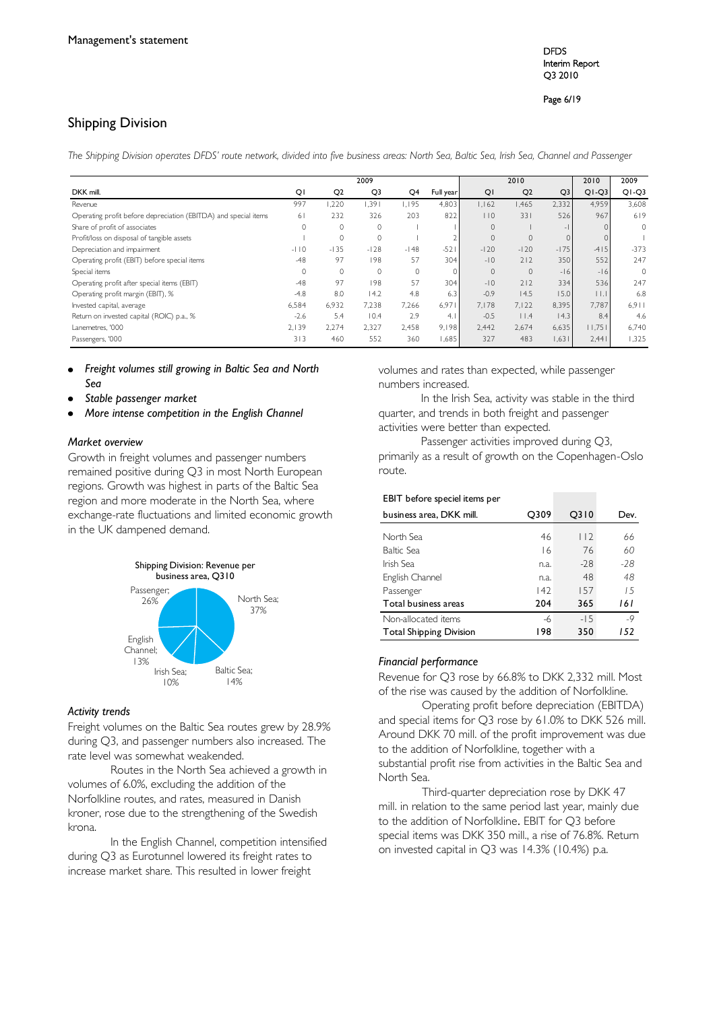DFDS Interim Report Q3 2010

Page 6/19

## Shipping Division

*The Shipping Division operates DFDS' route network, divided into five business areas: North Sea, Baltic Sea, Irish Sea, Channel and Passenger*

|                                                                 |         |                | 2009           |          |           |              | 2010           |                | 2010                    | 2009     |
|-----------------------------------------------------------------|---------|----------------|----------------|----------|-----------|--------------|----------------|----------------|-------------------------|----------|
| DKK mill.                                                       | QI      | Q <sub>2</sub> | Q <sub>3</sub> | Q4       | Full year | QI           | Q <sub>2</sub> | Q <sub>3</sub> | $Q1-Q3$                 | $Q1-Q3$  |
| Revenue                                                         | 997     | 1,220          | .391           | 1,195    | 4,803     | 1,162        | .465           | 2,332          | 4,959                   | 3,608    |
| Operating profit before depreciation (EBITDA) and special items | 61      | 232            | 326            | 203      | 822       | 110          | 331            | 526            | 967                     | 619      |
| Share of profit of associates                                   | $\circ$ | $\Omega$       | $\circ$        |          |           | $\mathbf{0}$ |                | $-1$           | $\Omega$                | 0        |
| Profit/loss on disposal of tangible assets                      |         | $\Omega$       | $\circ$        |          |           | $\Omega$     | $\mathbf{0}$   | $\Omega$       |                         |          |
| Depreciation and impairment                                     | $-110$  | $-135$         | $-128$         | $-148$   | $-521$    | $-120$       | $-120$         | $-175$         | $-415$                  | $-373$   |
| Operating profit (EBIT) before special items                    | $-48$   | 97             | 198            | 57       | 304       | $-10$        | 212            | 350            | 552                     | 247      |
| Special items                                                   | $\circ$ | $\Omega$       | $\Omega$       | $\Omega$ | $\Omega$  | $\Omega$     | $\Omega$       | $-16$          | $-16$                   | $\Omega$ |
| Operating profit after special items (EBIT)                     | $-48$   | 97             | 198            | 57       | 304       | $-10$        | 212            | 334            | 536                     | 247      |
| Operating profit margin (EBIT), %                               | $-4.8$  | 8.0            | 14.2           | 4.8      | 6.3       | $-0.9$       | 14.5           | 15.0           | $\vert \vert$ . $\vert$ | 6.8      |
| Invested capital, average                                       | 6,584   | 6.932          | 7.238          | 7.266    | 6.971     | 7.178        | 7.122          | 8,395          | 7.787                   | 6.911    |
| Return on invested capital (ROIC) p.a., %                       | $-2.6$  | 5.4            | 10.4           | 2.9      | 4.        | $-0.5$       | 11.4           | 4.3            | 8.4                     | 4.6      |
| Lanemetres, '000                                                | 2.139   | 2.274          | 2,327          | 2.458    | 9.198     | 2,442        | 2,674          | 6,635          | 11,751                  | 6,740    |
| Passengers, '000                                                | 313     | 460            | 552            | 360      | 1,685     | 327          | 483            | 1,631          | 2,441                   | 1,325    |

*Freight volumes still growing in Baltic Sea and North Sea* 

- *Stable passenger market*
- *More intense competition in the English Channel*

## *Market overview*

Growth in freight volumes and passenger numbers remained positive during Q3 in most North European regions. Growth was highest in parts of the Baltic Sea region and more moderate in the North Sea, where exchange-rate fluctuations and limited economic growth in the UK dampened demand.



### *Activity trends*

Freight volumes on the Baltic Sea routes grew by 28.9% during Q3, and passenger numbers also increased. The rate level was somewhat weakended.

Routes in the North Sea achieved a growth in volumes of 6.0%, excluding the addition of the Norfolkline routes, and rates, measured in Danish kroner, rose due to the strengthening of the Swedish krona.

In the English Channel, competition intensified during Q3 as Eurotunnel lowered its freight rates to increase market share. This resulted in lower freight

volumes and rates than expected, while passenger numbers increased.

In the Irish Sea, activity was stable in the third quarter, and trends in both freight and passenger activities were better than expected.

Passenger activities improved during Q3, primarily as a result of growth on the Copenhagen-Oslo route.

| EBIT before speciel items per  |      |         |      |
|--------------------------------|------|---------|------|
| business area, DKK mill.       | Q309 | $Q$ 310 | Dev. |
| North Sea                      | 46   | 112     | 66   |
| Baltic Sea                     | 16   | 76      | 60   |
| Irish Sea                      | n.a. | $-28$   | -28  |
| English Channel                | n.a. | 48      | 48   |
| Passenger                      | 42   | 157     | 15   |
| Total business areas           | 204  | 365     | 161  |
| Non-allocated items            | -6   | $-15$   | $-9$ |
| <b>Total Shipping Division</b> | 198  | 350     | 152  |

#### *Financial performance*

Revenue for Q3 rose by 66.8% to DKK 2,332 mill. Most of the rise was caused by the addition of Norfolkline.

Operating profit before depreciation (EBITDA) and special items for Q3 rose by 61.0% to DKK 526 mill. Around DKK 70 mill. of the profit improvement was due to the addition of Norfolkline, together with a substantial profit rise from activities in the Baltic Sea and North Sea.

Third-quarter depreciation rose by DKK 47 mill. in relation to the same period last year, mainly due to the addition of Norfolkline. EBIT for Q3 before special items was DKK 350 mill., a rise of 76.8%. Return on invested capital in Q3 was 14.3% (10.4%) p.a.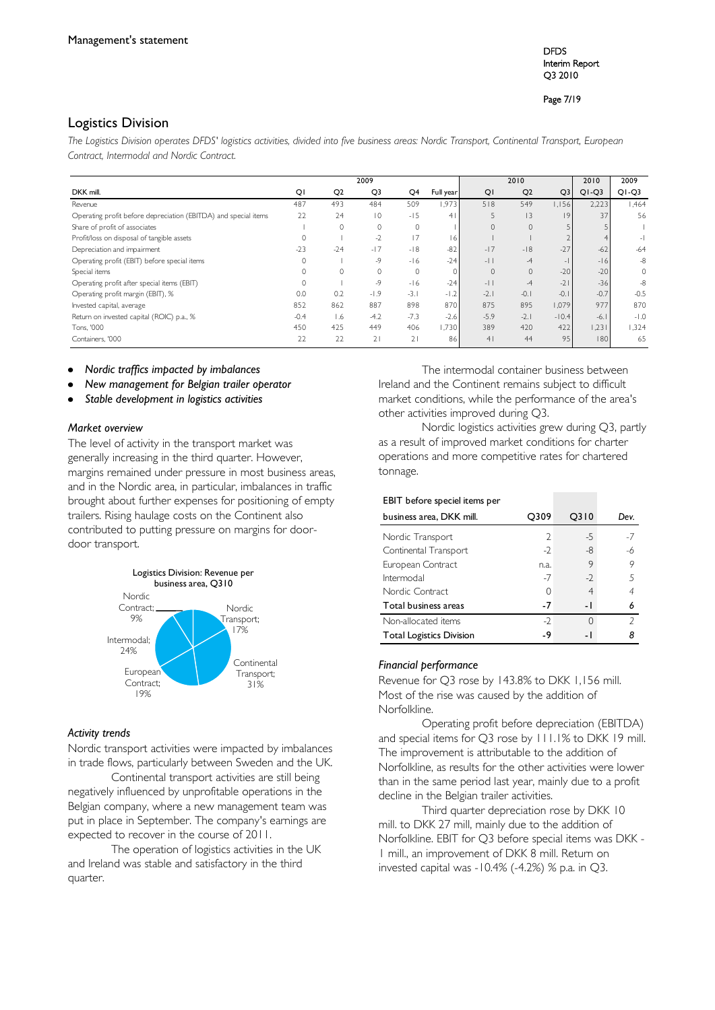DFDS Interim Report Q3 2010

Page 7/19

## Logistics Division

*The Logistics Division operates DFDS' logistics activities, divided into five business areas: Nordic Transport, Continental Transport, European Contract, Intermodal and Nordic Contract.* 

|                                                                 | 2009<br>2010 |                |                | 2010           | 2009           |                |                |                |         |                          |
|-----------------------------------------------------------------|--------------|----------------|----------------|----------------|----------------|----------------|----------------|----------------|---------|--------------------------|
| DKK mill.                                                       | QI           | Q <sub>2</sub> | Q3             | Q <sub>4</sub> | Full year      | QI             | Q <sub>2</sub> | Q <sub>3</sub> | $Q1-Q3$ | $Q1-Q3$                  |
| Revenue                                                         | 487          | 493            | 484            | 509            | 1,973          | 518            | 549            | 1,156          | 2,223   | <b>1.464</b>             |
| Operating profit before depreciation (EBITDA) and special items | 22           | 24             | $\overline{0}$ | $-15$          | 4 <sup>1</sup> | 5              | 3              | $ 9\rangle$    | 37      | 56                       |
| Share of profit of associates                                   |              | $\mathbf{0}$   | 0              | $\circ$        |                | $\mathbf 0$    | $\mathbf{0}$   |                |         |                          |
| Profit/loss on disposal of tangible assets                      | $\Omega$     |                | $-2$           | 17             | 16             |                |                |                |         | $\overline{\phantom{a}}$ |
| Depreciation and impairment                                     | $-23$        | $-24$          | $-17$          | $-18$          | $-82$          | $-17$          | $-18$          | $-27$          | $-62$   | $-64$                    |
| Operating profit (EBIT) before special items                    | $\mathbf{0}$ |                | -9             | $-16$          | $-24$          | $-1$           | $-4$           | $-1$           | $-16$   | $-8$                     |
| Special items                                                   | 0            |                | $\mathbf{0}$   | $\circ$        |                | $\mathbf{0}$   | $\mathbf{0}$   | $-20$          | $-20$   | 0                        |
| Operating profit after special items (EBIT)                     | $\mathbf{0}$ |                | $-9$           | $-16$          | $-24$          | $-11$          | $-4$           | $-2$           | $-36$   | $-8$                     |
| Operating profit margin (EBIT), %                               | 0.0          | 0.2            | $-1.9$         | $-3.1$         | $-1.2$         | $-2.1$         | $-0.1$         | $-0.1$         | $-0.7$  | $-0.5$                   |
| Invested capital, average                                       | 852          | 862            | 887            | 898            | 870            | 875            | 895            | 1.079          | 977     | 870                      |
| Return on invested capital (ROIC) p.a., %                       | $-0.4$       | 1.6            | $-4.2$         | $-7.3$         | $-2.6$         | $-5.9$         | $-2.1$         | $-10.4$        | $-6.$   | $-1.0$                   |
| Tons, '000                                                      | 450          | 425            | 449            | 406            | 1,730          | 389            | 420            | 422            | 1,231   | 1,324                    |
| Containers, '000                                                | 22           | 22             | 21             | 21             | 86             | 4 <sub>1</sub> | 44             | 95             | 180     | 65                       |

- *Nordic traffics impacted by imbalances*
- *New management for Belgian trailer operator*
- *Stable development in logistics activities*

#### *Market overview*

The level of activity in the transport market was generally increasing in the third quarter. However, margins remained under pressure in most business areas, and in the Nordic area, in particular, imbalances in traffic brought about further expenses for positioning of empty trailers. Rising haulage costs on the Continent also contributed to putting pressure on margins for doordoor transport.



#### *Activity trends*

Nordic transport activities were impacted by imbalances in trade flows, particularly between Sweden and the UK.

Continental transport activities are still being negatively influenced by unprofitable operations in the Belgian company, where a new management team was put in place in September. The company's earnings are expected to recover in the course of 2011.

The operation of logistics activities in the UK and Ireland was stable and satisfactory in the third quarter.

The intermodal container business between Ireland and the Continent remains subject to difficult market conditions, while the performance of the area's other activities improved during Q3.

Nordic logistics activities grew during Q3, partly as a result of improved market conditions for charter operations and more competitive rates for chartered tonnage.

| EBIT before speciel items per |      |      |      |
|-------------------------------|------|------|------|
| business area, DKK mill.      | O309 | O310 | Dev. |
| Nordic Transport              | 2    | $-5$ | -7   |
| Continental Transport         | $-2$ | -8   | -6   |
| European Contract             | n.a. | 9    | 9    |
| Intermodal                    | $-7$ | $-2$ | 5    |
| Nordic Contract               |      |      | 4    |
| Total business areas          |      | ۰    |      |

### *Financial performance*

Revenue for Q3 rose by 143.8% to DKK 1,156 mill. Most of the rise was caused by the addition of Norfolkline.

Non-allocated items -2 0 *2* Total Logistics Division **-9** -1 8

Operating profit before depreciation (EBITDA) and special items for Q3 rose by 111.1% to DKK 19 mill. The improvement is attributable to the addition of Norfolkline, as results for the other activities were lower than in the same period last year, mainly due to a profit decline in the Belgian trailer activities.

Third quarter depreciation rose by DKK 10 mill. to DKK 27 mill, mainly due to the addition of Norfolkline. EBIT for Q3 before special items was DKK - 1 mill., an improvement of DKK 8 mill. Return on invested capital was -10.4% (-4.2%) % p.a. in Q3.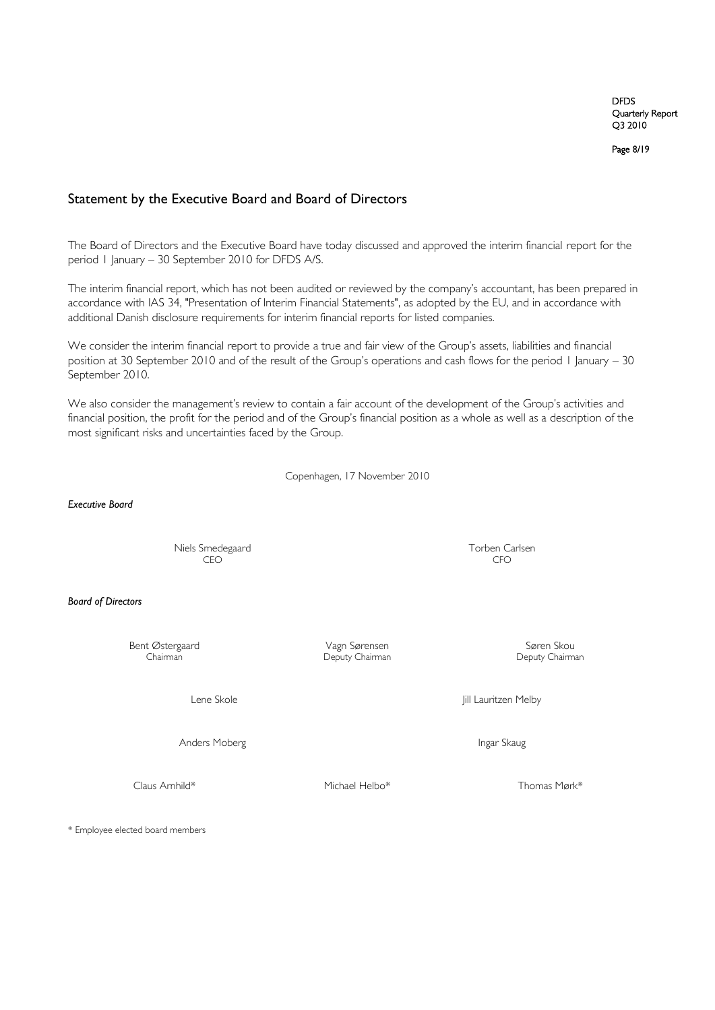Page 8/19

## Statement by the Executive Board and Board of Directors

The Board of Directors and the Executive Board have today discussed and approved the interim financial report for the period 1 January – 30 September 2010 for DFDS A/S.

The interim financial report, which has not been audited or reviewed by the company's accountant, has been prepared in accordance with IAS 34, "Presentation of Interim Financial Statements", as adopted by the EU, and in accordance with additional Danish disclosure requirements for interim financial reports for listed companies.

We consider the interim financial report to provide a true and fair view of the Group's assets, liabilities and financial position at 30 September 2010 and of the result of the Group"s operations and cash flows for the period 1 January – 30 September 2010.

We also consider the management's review to contain a fair account of the development of the Group's activities and financial position, the profit for the period and of the Group"s financial position as a whole as well as a description of the most significant risks and uncertainties faced by the Group.

Copenhagen, 17 November 2010

*Executive Board*

Niels Smedegaard Torben Carlsen CEO CFO

*Board of Directors*

Bent Østergaard Vagn Sørensen Søren Skou

Deputy Chairman

Lene Skole **Jill Lauritzen Melby** 

Anders Moberg **Ingar Skaug** 

Claus Arnhild\* Michael Helbo\* Thomas Mørk\* Thomas Mørk\*

\* Employee elected board members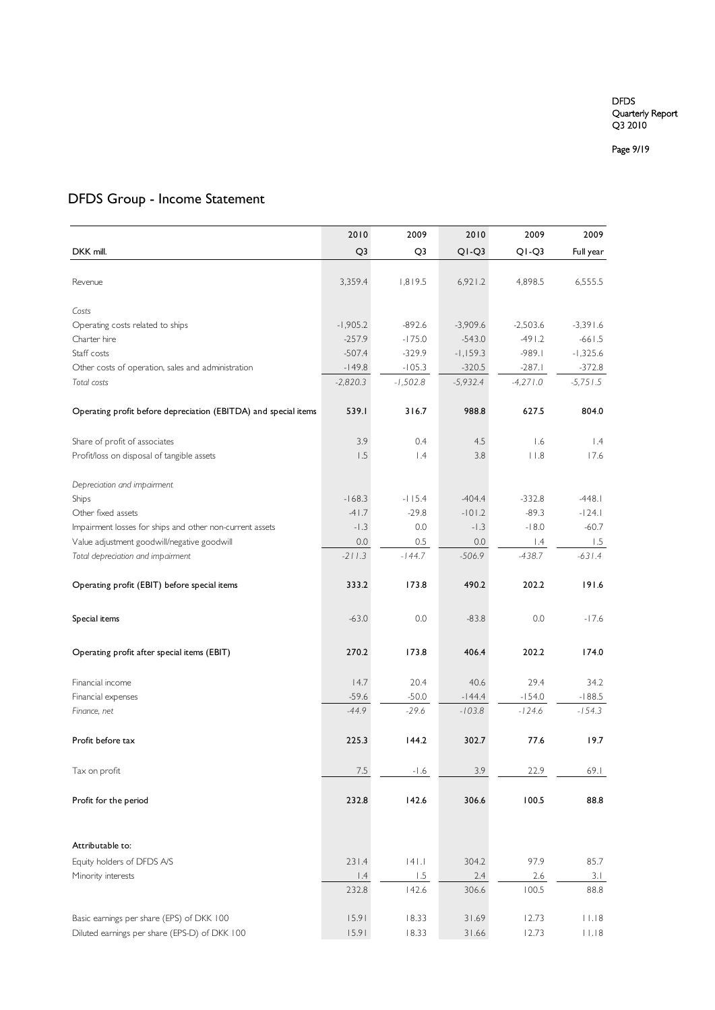Page 9 /19

## DFDS Group - Income Statement

|                                                                 | 2010           | 2009            | 2010       | 2009                   | 2009                        |
|-----------------------------------------------------------------|----------------|-----------------|------------|------------------------|-----------------------------|
| DKK mill.                                                       | Q <sub>3</sub> | Q <sub>3</sub>  | $Q1-Q3$    | $Q1-Q3$                | Full year                   |
|                                                                 |                |                 |            |                        |                             |
| Revenue                                                         | 3,359.4        | 1,819.5         | 6,921.2    | 4,898.5                | 6,555.5                     |
|                                                                 |                |                 |            |                        |                             |
| Costs                                                           |                |                 |            |                        |                             |
| Operating costs related to ships                                | $-1,905.2$     | $-892.6$        | $-3,909.6$ | $-2,503.6$<br>$-491.2$ | $-3,391.6$                  |
| Charter hire                                                    | $-257.9$       | $-175.0$        | $-543.0$   |                        | $-661.5$                    |
| Staff costs                                                     | $-507.4$       | $-329.9$        | $-1,159.3$ | $-989.1$               | $-1,325.6$                  |
| Other costs of operation, sales and administration              | $-149.8$       | $-105.3$        | $-320.5$   | $-287.1$               | $-372.8$                    |
| Total costs                                                     | $-2,820.3$     | $-1,502.8$      | $-5,932.4$ | $-4,271.0$             | $-5,751.5$                  |
| Operating profit before depreciation (EBITDA) and special items | 539.1          | 316.7           | 988.8      | 627.5                  | 804.0                       |
| Share of profit of associates                                   | 3.9            | 0.4             | 4.5        | 1.6                    | 1.4                         |
| Profit/loss on disposal of tangible assets                      | 1.5            | $\mathsf{I}$ .4 | 3.8        | $ $ $ $ $ $ $ $        | 17.6                        |
|                                                                 |                |                 |            |                        |                             |
| Depreciation and impairment                                     |                |                 |            |                        |                             |
| Ships                                                           | $-168.3$       | $-115.4$        | $-404.4$   | $-332.8$               | $-448.1$                    |
| Other fixed assets                                              | $-41.7$        | $-29.8$         | $-101.2$   | $-89.3$                | $-124.1$                    |
| Impairment losses for ships and other non-current assets        | $-1.3$         | 0.0             | $-1.3$     | $-18.0$                | $-60.7$                     |
| Value adjustment goodwill/negative goodwill                     | 0.0            | 0.5             | 0.0        | $\vert A$              | 1.5                         |
| Total depreciation and impairment                               | $-211.3$       | $-144.7$        | $-506.9$   | $-438.7$               | $-631.4$                    |
|                                                                 |                |                 |            |                        |                             |
| Operating profit (EBIT) before special items                    | 333.2          | 173.8           | 490.2      | 202.2                  | 191.6                       |
|                                                                 |                |                 |            |                        |                             |
| Special items                                                   | $-63.0$        | 0.0             | $-83.8$    | 0.0                    | $-17.6$                     |
|                                                                 |                |                 |            |                        |                             |
| Operating profit after special items (EBIT)                     | 270.2          | 173.8           | 406.4      | 202.2                  | 174.0                       |
|                                                                 |                |                 |            |                        |                             |
| Financial income                                                | 14.7           | 20.4            | 40.6       | 29.4                   | 34.2                        |
| Financial expenses                                              | $-59.6$        | $-50.0$         | $-144.4$   | $-154.0$               | $-188.5$                    |
| Finance, net                                                    | $-44.9$        | $-29.6$         | $-103.8$   | $-124.6$               | $-154.3$                    |
|                                                                 | 225.3          | 144.2           | 302.7      | 77.6                   | 19.7                        |
| Profit before tax                                               |                |                 |            |                        |                             |
| Tax on profit                                                   | $7.5\,$        | $-1.6$          | 3.9        | 22.9                   | 69.1                        |
|                                                                 |                |                 |            |                        |                             |
| Profit for the period                                           | 232.8          | 142.6           | 306.6      | 100.5                  | 88.8                        |
|                                                                 |                |                 |            |                        |                             |
| Attributable to:                                                |                |                 |            |                        |                             |
| Equity holders of DFDS A/S                                      | 231.4          | $ 4 $ .         | 304.2      | 97.9                   | 85.7                        |
| Minority interests                                              | 1.4            | 1.5             | 2.4        | 2.6                    | 3.1                         |
|                                                                 | 232.8          | 142.6           | 306.6      | 100.5                  | 88.8                        |
|                                                                 |                |                 |            |                        |                             |
| Basic earnings per share (EPS) of DKK 100                       | 15.91          | 18.33           | 31.69      | 12.73                  | 11.18                       |
| Diluted earnings per share (EPS-D) of DKK 100                   | 15.91          | 18.33           | 31.66      | 12.73                  | $\vert \ \vert . \vert \ 8$ |
|                                                                 |                |                 |            |                        |                             |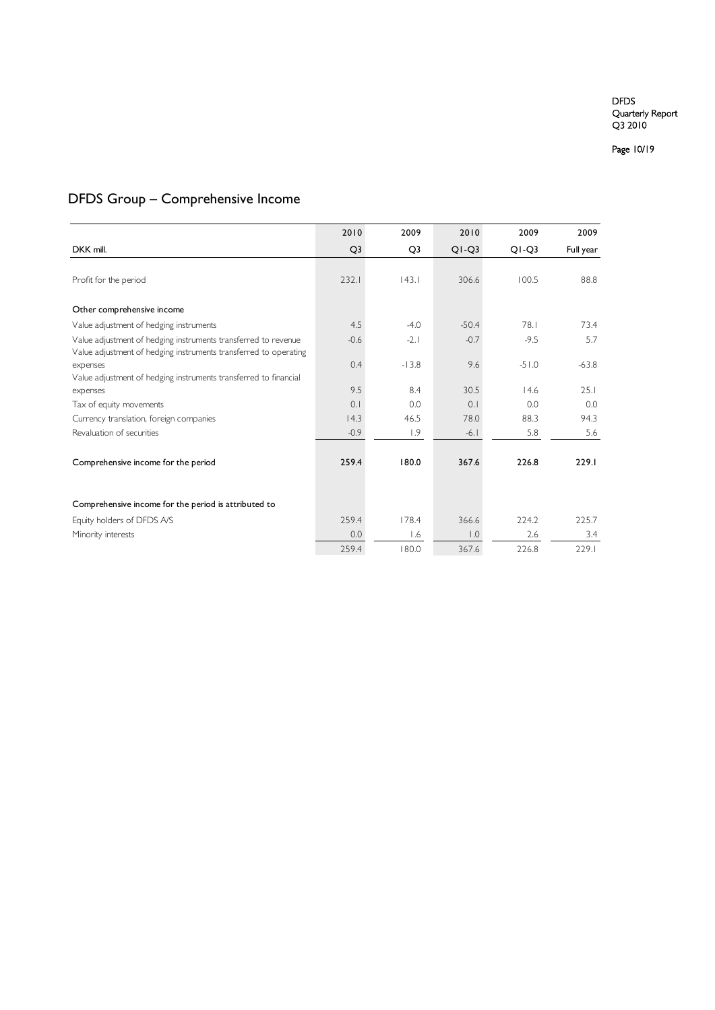Page 10/19

## DFDS Group – Comprehensive Income

|                                                                                                                                    | 2010           | 2009           | 2010    | 2009    | 2009      |
|------------------------------------------------------------------------------------------------------------------------------------|----------------|----------------|---------|---------|-----------|
| DKK mill.                                                                                                                          | Q <sub>3</sub> | Q <sub>3</sub> | $Q1-Q3$ | $Q1-Q3$ | Full year |
|                                                                                                                                    |                |                |         |         |           |
| Profit for the period                                                                                                              | 232.1          | 143.1          | 306.6   | 100.5   | 88.8      |
| Other comprehensive income                                                                                                         |                |                |         |         |           |
| Value adjustment of hedging instruments                                                                                            | 4.5            | $-4.0$         | $-50.4$ | 78.1    | 73.4      |
| Value adjustment of hedging instruments transferred to revenue<br>Value adjustment of hedging instruments transferred to operating | $-0.6$         | $-2.1$         | $-0.7$  | $-9.5$  | 5.7       |
| expenses                                                                                                                           | 0.4            | $-13.8$        | 9.6     | $-51.0$ | $-63.8$   |
| Value adjustment of hedging instruments transferred to financial<br>expenses                                                       | 9.5            | 8.4            | 30.5    | 14.6    | 25.1      |
| Tax of equity movements                                                                                                            | 0.1            | 0.0            | 0.1     | 0.0     | 0.0       |
| Currency translation, foreign companies                                                                                            | 14.3           | 46.5           | 78.0    | 88.3    | 94.3      |
| Revaluation of securities                                                                                                          | $-0.9$         | 1.9            | $-6.1$  | 5.8     | 5.6       |
|                                                                                                                                    |                |                |         |         |           |
| Comprehensive income for the period                                                                                                | 259.4          | 180.0          | 367.6   | 226.8   | 229.1     |
|                                                                                                                                    |                |                |         |         |           |
| Comprehensive income for the period is attributed to                                                                               |                |                |         |         |           |
| Equity holders of DFDS A/S                                                                                                         | 259.4          | 178.4          | 366.6   | 224.2   | 225.7     |
| Minority interests                                                                                                                 | 0.0            | 1.6            | 0.1     | 2.6     | 3.4       |
|                                                                                                                                    | 259.4          | 180.0          | 367.6   | 226.8   | 229.1     |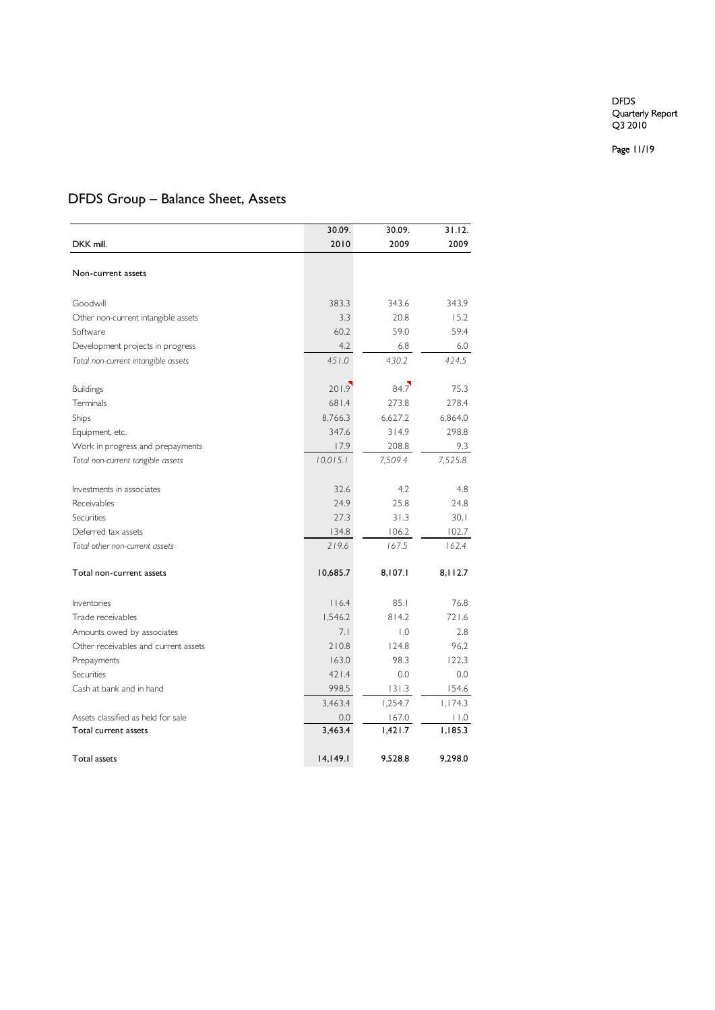Page 11/19

## DFDS Group – Balance Sheet, Assets

|                                      | 30.09.   | 30.09.  | 31.12.  |
|--------------------------------------|----------|---------|---------|
| DKK mill.                            | 2010     | 2009    | 2009    |
|                                      |          |         |         |
| Non-current assets                   |          |         |         |
|                                      |          |         |         |
| Goodwill                             | 383.3    | 343.6   | 343.9   |
| Other non-current intangible assets  | 3.3      | 20.8    | 15.2    |
| Software                             | 60.2     | 59.0    | 59.4    |
| Development projects in progress     | 4.2      | 6.8     | 6.0     |
| Total non-current intangible assets  | 451.0    | 430.2   | 424.5   |
|                                      |          |         |         |
| <b>Buildings</b>                     | 201.9    | 84.7    | 75.3    |
| Terminals                            | 681.4    | 273.8   | 278.4   |
| Ships                                | 8,766.3  | 6,627.2 | 6,864.0 |
| Equipment, etc.                      | 347.6    | 314.9   | 298.8   |
| Work in progress and prepayments     | 17.9     | 208.8   | 9.3     |
| Total non-current tangible assets    | 10,015.1 | 7,509.4 | 7,525.8 |
|                                      |          |         |         |
| Investments in associates            | 32.6     | 4.2     | 4.8     |
| Receivables                          | 24.9     | 25.8    | 24.8    |
| Securities                           | 27.3     | 31.3    | 30.1    |
| Deferred tax assets                  | 134.8    | 106.2   | 102.7   |
| Total other non-current assets       | 219.6    | 167.5   | 162.4   |
|                                      |          |         |         |
| Total non-current assets             | 10,685.7 | 8,107.1 | 8,112.7 |
|                                      |          |         |         |
| Inventories                          | 116.4    | 85.1    | 76.8    |
| Trade receivables                    | 1,546.2  | 814.2   | 721.6   |
| Amounts owed by associates           | 7.1      | 0.1     | 2.8     |
| Other receivables and current assets | 210.8    | 124.8   | 96.2    |
| Prepayments                          | 163.0    | 98.3    | 122.3   |
| Securities                           | 421.4    | 0.0     | 0.0     |
| Cash at bank and in hand             | 998.5    | 131.3   | 154.6   |
|                                      | 3,463.4  | 1,254.7 | 1,174.3 |
| Assets classified as held for sale   | 0.0      | 167.0   | 11.0    |
| Total current assets                 | 3,463.4  | 1,421.7 | 1,185.3 |
|                                      |          |         |         |
| Total assets                         | 14,149.1 | 9,528.8 | 9,298.0 |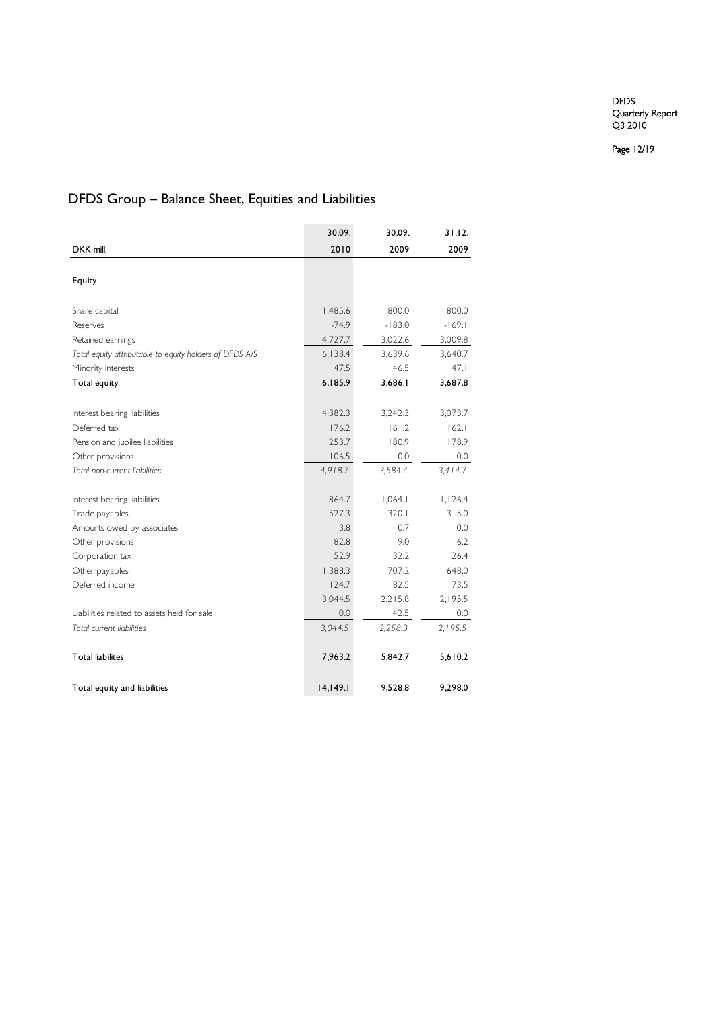Page 12/19

## DFDS Group – Balance Sheet, Equities and Liabilities

|                                                         | 30.09.   | 30.09.   | 31.12.   |
|---------------------------------------------------------|----------|----------|----------|
| DKK mill.                                               | 2010     | 2009     | 2009     |
|                                                         |          |          |          |
| Equity                                                  |          |          |          |
|                                                         |          |          |          |
| Share capital                                           | 1,485.6  | 800.0    | 800.0    |
| Reserves                                                | $-74.9$  | $-183.0$ | $-169.1$ |
| Retained earnings                                       | 4,727.7  | 3,022.6  | 3,009.8  |
| Total equity attributable to equity holders of DFDS A/S | 6,138.4  | 3,639.6  | 3,640.7  |
| Minority interests                                      | 47.5     | 46.5     | 47.1     |
| Total equity                                            | 6,185.9  | 3,686.1  | 3,687.8  |
|                                                         |          |          |          |
| Interest bearing liabilities                            | 4,382.3  | 3,242.3  | 3,073.7  |
| Deferred tax                                            | 176.2    | 161.2    | 162.1    |
| Pension and jubilee liabilities                         | 253.7    | 180.9    | 178.9    |
| Other provisions                                        | 106.5    | 0.0      | 0.0      |
| Total non-current liabilities                           | 4,918.7  | 3,584.4  | 3,414.7  |
| Interest bearing liabilities                            | 864.7    | 1,064.1  | 1,126.4  |
| Trade payables                                          | 527.3    | 320.1    | 315.0    |
| Amounts owed by associates                              | 3.8      | 0.7      | 0.0      |
| Other provisions                                        | 82.8     | 9.0      | 6.2      |
| Corporation tax                                         | 52.9     | 32.2     | 26.4     |
| Other payables                                          | 1,388.3  | 707.2    | 648.0    |
| Deferred income                                         | 124.7    | 82.5     | 73.5     |
|                                                         | 3,044.5  | 2,215.8  | 2,195.5  |
| Liabilities related to assets held for sale             | 0.0      | 42.5     | 0.0      |
| Total current liabilities                               | 3,044.5  | 2,258.3  | 2,195.5  |
| <b>Total liabilites</b>                                 | 7,963.2  | 5,842.7  | 5,610.2  |
| Total equity and liabilities                            | 14,149.1 | 9,528.8  | 9,298.0  |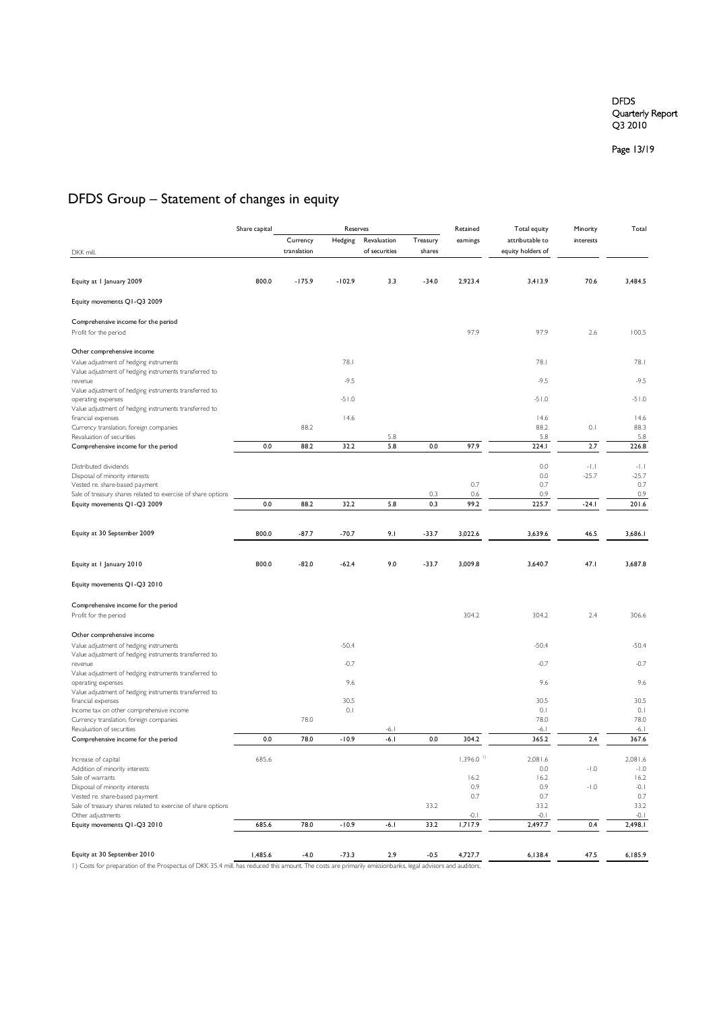Page 13/19

## DFDS Group – Statement of changes in equity

|                                                                                                   | Share capital | Reserves    | Retained | Total equity  | Minority<br>Total |                         |                   |            |                   |
|---------------------------------------------------------------------------------------------------|---------------|-------------|----------|---------------|-------------------|-------------------------|-------------------|------------|-------------------|
|                                                                                                   |               | Currency    | Hedging  | Revaluation   | Treasury          | earnings                | attributable to   | interests  |                   |
| DKK mill.                                                                                         |               | translation |          | of securities | shares            |                         | equity holders of |            |                   |
|                                                                                                   |               |             |          |               |                   |                         |                   |            |                   |
| Equity at I January 2009                                                                          | 800.0         | $-175.9$    | $-102.9$ | 3.3           | $-34.0$           | 2,923.4                 | 3,413.9           | 70.6       | 3,484.5           |
| Equity movements Q1-Q3 2009                                                                       |               |             |          |               |                   |                         |                   |            |                   |
| Comprehensive income for the period                                                               |               |             |          |               |                   |                         |                   |            |                   |
| Profit for the period                                                                             |               |             |          |               |                   | 97.9                    | 97.9              | 2.6        | 100.5             |
| Other comprehensive income                                                                        |               |             |          |               |                   |                         |                   |            |                   |
| Value adjustment of hedging instruments<br>Value adjustment of hedging instruments transferred to |               |             | 78.1     |               |                   |                         | 78.1              |            | 78.1<br>$-9.5$    |
| revenue<br>Value adjustment of hedging instruments transferred to                                 |               |             | $-9.5$   |               |                   |                         | $-9.5$            |            |                   |
| operating expenses<br>Value adjustment of hedging instruments transferred to                      |               |             | $-51.0$  |               |                   |                         | $-51.0$           |            | $-51.0$           |
| financial expenses                                                                                |               |             | 14.6     |               |                   |                         | 14.6              |            | 14.6              |
| Currency translation, foreign companies<br>Revaluation of securities                              |               | 88.2        |          | 5.8           |                   |                         | 88.2<br>5.8       | 0.1        | 88.3<br>5.8       |
| Comprehensive income for the period                                                               | 0.0           | 88.2        | 32.2     | 5.8           | 0.0               | 97.9                    | 224.I             | 2.7        | 226.8             |
| Distributed dividends                                                                             |               |             |          |               |                   |                         | 0.0               | $-1$ , $1$ | $-1.1$            |
| Disposal of minority interests                                                                    |               |             |          |               |                   |                         | 0.0               | $-25.7$    | $-25.7$           |
| Vested re. share-based payment                                                                    |               |             |          |               |                   | 0.7                     | 0.7               |            | 0.7               |
| Sale of treasury shares related to exercise of share options<br>Equity movements Q1-Q3 2009       | 0.0           | 88.2        | 32.2     | 5.8           | 0.3<br>0.3        | 0.6<br>99.2             | 0.9<br>225.7      | $-24.1$    | 0.9<br>201.6      |
|                                                                                                   |               |             |          |               |                   |                         |                   |            |                   |
| Equity at 30 September 2009                                                                       | 800.0         | $-87.7$     | $-70.7$  | 9.1           | $-33.7$           | 3,022.6                 | 3,639.6           | 46.5       | 3,686.1           |
|                                                                                                   |               |             |          |               |                   |                         |                   |            |                   |
| Equity at I January 2010                                                                          | 800.0         | $-82.0$     | $-62.4$  | 9.0           | $-33.7$           | 3,009.8                 | 3,640.7           | 47.1       | 3,687.8           |
| Equity movements Q1-Q3 2010                                                                       |               |             |          |               |                   |                         |                   |            |                   |
|                                                                                                   |               |             |          |               |                   |                         |                   |            |                   |
| Comprehensive income for the period<br>Profit for the period                                      |               |             |          |               |                   | 304.2                   | 304.2             | 2.4        | 306.6             |
|                                                                                                   |               |             |          |               |                   |                         |                   |            |                   |
| Other comprehensive income                                                                        |               |             | $-50.4$  |               |                   |                         |                   |            |                   |
| Value adjustment of hedging instruments<br>Value adjustment of hedging instruments transferred to |               |             |          |               |                   |                         | $-50.4$           |            | $-50.4$           |
| revenue<br>Value adjustment of hedging instruments transferred to                                 |               |             | $-0.7$   |               |                   |                         | $-0.7$            |            | $-0.7$            |
| operating expenses                                                                                |               |             | 9.6      |               |                   |                         | 9.6               |            | 9.6               |
| Value adjustment of hedging instruments transferred to<br>financial expenses                      |               |             | 30.5     |               |                   |                         | 30.5              |            | 30.5              |
| Income tax on other comprehensive income                                                          |               |             | 0.1      |               |                   |                         | 0.1               |            | 0.1               |
| Currency translation, foreign companies<br>Revaluation of securities                              |               | 78.0        |          | $-6.1$        |                   |                         | 78.0<br>$-6.1$    |            | 78.0<br>$-6.1$    |
| Comprehensive income for the period                                                               | 0.0           | 78.0        | $-10.9$  | $-6.1$        | 0.0               | 304.2                   | 365.2             | 2.4        | 367.6             |
|                                                                                                   |               |             |          |               |                   |                         |                   |            |                   |
| Increase of capital<br>Addition of minority interests                                             | 685.6         |             |          |               |                   | $1,396.0$ <sup>1)</sup> | 2,081.6<br>0.0    | $-1.0$     | 2,081.6<br>$-1.0$ |
| Sale of warrants                                                                                  |               |             |          |               |                   | 16.2                    | 16.2              |            | 16.2              |
| Disposal of minority interests                                                                    |               |             |          |               |                   | 0.9                     | 0.9               | $-1.0$     | $-0.1$            |
| Vested re. share-based payment                                                                    |               |             |          |               |                   | 0.7                     | 0.7               |            | 0.7               |
| Sale of treasury shares related to exercise of share options                                      |               |             |          |               | 33.2              | $-0.1$                  | 33.2<br>$-0.1$    |            | 33.2              |
| Other adjustments<br>Equity movements Q1-Q3 2010                                                  | 685.6         | 78.0        | $-10.9$  | $-6.1$        | 33.2              | 1,717.9                 | 2,497.7           | 0.4        | $-0.1$<br>2,498.1 |
|                                                                                                   |               |             |          |               |                   |                         |                   |            |                   |
| Equity at 30 September 2010                                                                       | 1,485.6       | $-4.0$      | $-73.3$  | 2.9           | $-0.5$            | 4,727.7                 | 6,138.4           | 47.5       | 6,185.9           |
|                                                                                                   |               |             |          |               |                   |                         |                   |            |                   |

1) Costs for preparation of the Prospectus of DKK 35.4 mill. has reduced this amount. The costs are primarily emissionbanks, legal advisors and auditors.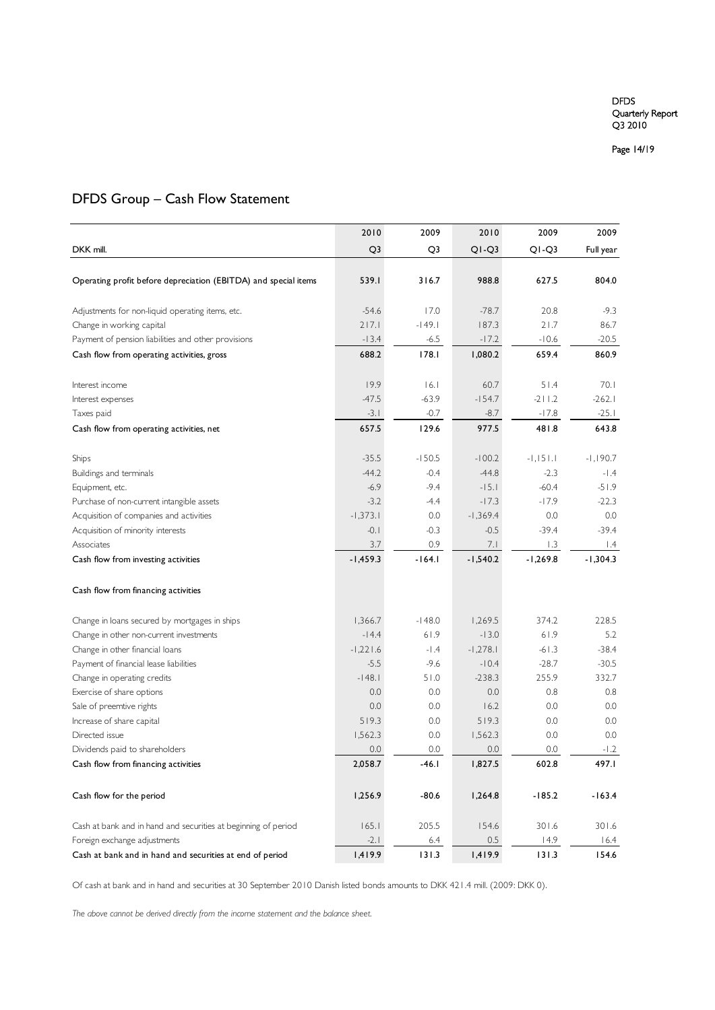Page 14/19

## DFDS Group – Cash Flow Statement

|                                                                 | 2010           | 2009     | 2010       | 2009       | 2009       |
|-----------------------------------------------------------------|----------------|----------|------------|------------|------------|
| DKK mill.                                                       | Q <sub>3</sub> | Q3       | $Q1-Q3$    | $Q1-Q3$    | Full year  |
|                                                                 |                |          |            |            |            |
| Operating profit before depreciation (EBITDA) and special items | 539.I          | 316.7    | 988.8      | 627.5      | 804.0      |
| Adjustments for non-liquid operating items, etc.                | $-54.6$        | 17.0     | $-78.7$    | 20.8       | $-9.3$     |
| Change in working capital                                       | 217.1          | $-149.1$ | 187.3      | 21.7       | 86.7       |
| Payment of pension liabilities and other provisions             | $-13.4$        | $-6.5$   | $-17.2$    | $-10.6$    | $-20.5$    |
| Cash flow from operating activities, gross                      | 688.2          | 178.1    | 1,080.2    | 659.4      | 860.9      |
| Interest income                                                 | 19.9           | 6.1      | 60.7       | 51.4       | 70.1       |
| Interest expenses                                               | $-47.5$        | $-63.9$  | $-154.7$   | $-211.2$   | $-262.1$   |
| Taxes paid                                                      | $-3.1$         | $-0.7$   | $-8.7$     | $-17.8$    | $-25.1$    |
| Cash flow from operating activities, net                        | 657.5          | 129.6    | 977.5      | 481.8      | 643.8      |
|                                                                 |                |          |            |            |            |
| Ships                                                           | $-35.5$        | $-150.5$ | $-100.2$   | $-1,151.1$ | $-1,190.7$ |
| Buildings and terminals                                         | $-44.2$        | $-0.4$   | $-44.8$    | $-2.3$     | $-1.4$     |
| Equipment, etc.                                                 | $-6.9$         | $-9.4$   | $-15.1$    | $-60.4$    | $-51.9$    |
| Purchase of non-current intangible assets                       | $-3.2$         | $-4.4$   | $-17.3$    | $-17.9$    | $-22.3$    |
| Acquisition of companies and activities                         | $-1,373.1$     | 0.0      | $-1,369.4$ | 0.0        | 0.0        |
| Acquisition of minority interests                               | $-0.1$         | $-0.3$   | $-0.5$     | $-39.4$    | $-39.4$    |
| Associates                                                      | 3.7            | 0.9      | 7.1        | 1.3        | 1.4        |
| Cash flow from investing activities                             | $-1,459.3$     | $-164.1$ | $-1,540.2$ | $-1,269.8$ | $-1,304.3$ |
| Cash flow from financing activities                             |                |          |            |            |            |
| Change in loans secured by mortgages in ships                   | 1,366.7        | $-148.0$ | 1,269.5    | 374.2      | 228.5      |
| Change in other non-current investments                         | $-14.4$        | 61.9     | $-13.0$    | 61.9       | 5.2        |
| Change in other financial loans                                 | $-1,221.6$     | $-1.4$   | $-1,278.1$ | $-61.3$    | $-38.4$    |
| Payment of financial lease liabilities                          | $-5.5$         | $-9.6$   | $-10.4$    | $-28.7$    | $-30.5$    |
| Change in operating credits                                     | $-148.1$       | 51.0     | $-238.3$   | 255.9      | 332.7      |
| Exercise of share options                                       | 0.0            | 0.0      | 0.0        | 0.8        | 0.8        |
| Sale of preemtive rights                                        | 0.0            | 0.0      | 16.2       | 0.0        | 0.0        |
| Increase of share capital                                       | 519.3          | 0.0      | 519.3      | 0.0        | 0.0        |
| Directed issue                                                  | 1,562.3        | 0.0      | 1,562.3    | 0.0        | 0.0        |
| Dividends paid to shareholders                                  | 0.0            | 0.0      | 0.0        | 0.0        | $-1.2$     |
| Cash flow from financing activities                             | 2,058.7        | $-46.1$  | 1,827.5    | 602.8      | 497.I      |
| Cash flow for the period                                        | 1,256.9        | $-80.6$  | 1,264.8    | $-185.2$   | $-163.4$   |
| Cash at bank and in hand and securities at beginning of period  | 165.1          | 205.5    | 154.6      | 301.6      | 301.6      |
| Foreign exchange adjustments                                    | $-2.1$         | $6.4$    | $0.5\,$    | 14.9       | 16.4       |
| Cash at bank and in hand and securities at end of period        | 1,419.9        | 131.3    | 1,419.9    | 131.3      | 154.6      |

Of cash at bank and in hand and securities at 30 September 2010 Danish listed bonds amounts to DKK 421.4 mill. (2009: DKK 0).

*The above cannot be derived directly from the income statement and the balance sheet.*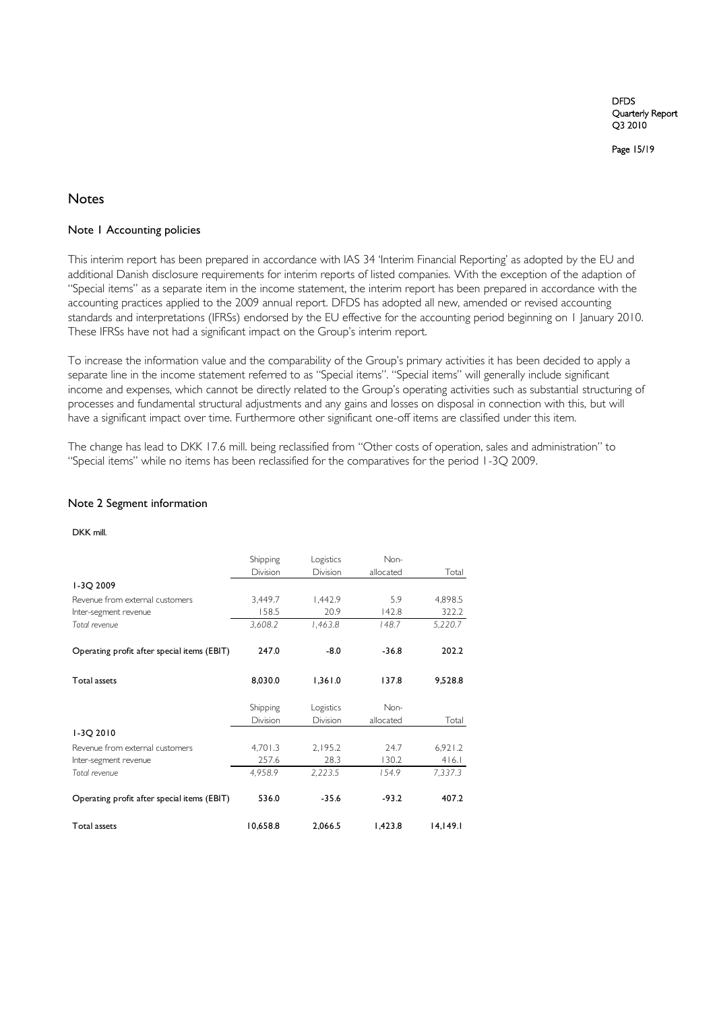Page 15/19

## Notes

### Note 1 Accounting policies

This interim report has been prepared in accordance with IAS 34 "Interim Financial Reporting" as adopted by the EU and additional Danish disclosure requirements for interim reports of listed companies. With the exception of the adaption of "Special items" as a separate item in the income statement, the interim report has been prepared in accordance with the accounting practices applied to the 2009 annual report. DFDS has adopted all new, amended or revised accounting standards and interpretations (IFRSs) endorsed by the EU effective for the accounting period beginning on 1 January 2010. These IFRSs have not had a significant impact on the Group's interim report.

To increase the information value and the comparability of the Group"s primary activities it has been decided to apply a separate line in the income statement referred to as "Special items". "Special items" will generally include significant income and expenses, which cannot be directly related to the Group"s operating activities such as substantial structuring of processes and fundamental structural adjustments and any gains and losses on disposal in connection with this, but will have a significant impact over time. Furthermore other significant one-off items are classified under this item.

The change has lead to DKK 17.6 mill. being reclassified from "Other costs of operation, sales and administration" to "Special items" while no items has been reclassified for the comparatives for the period 1-3Q 2009.

#### Note 2 Segment information

DKK mill.

|                                             | Shipping | Logistics | Non-      |          |
|---------------------------------------------|----------|-----------|-----------|----------|
|                                             | Division | Division  | allocated | Total    |
| I-3Q 2009                                   |          |           |           |          |
| Revenue from external customers             | 3,449.7  | 1,442.9   | 5.9       | 4,898.5  |
| Inter-segment revenue                       | 158.5    | 20.9      | 142.8     | 322.2    |
| Total revenue                               | 3,608.2  | 1,463.8   | 148.7     | 5,220.7  |
| Operating profit after special items (EBIT) | 247.0    | $-8.0$    | $-36.8$   | 202.2    |
| Total assets                                | 8,030.0  | 1,361.0   | 137.8     | 9,528.8  |
|                                             | Shipping | Logistics | Non-      |          |
|                                             | Division | Division  | allocated | Total    |
| I-3Q 2010                                   |          |           |           |          |
| Revenue from external customers             | 4,701.3  | 2,195.2   | 24.7      | 6,921.2  |
| Inter-segment revenue                       | 257.6    | 28.3      | 130.2     | 416.1    |
| Total revenue                               | 4,958.9  | 2,223.5   | 154.9     | 7,337.3  |
| Operating profit after special items (EBIT) | 536.0    | $-35.6$   | $-93.2$   | 407.2    |
| <b>Total assets</b>                         | 10,658.8 | 2,066.5   | 1,423.8   | 14,149.1 |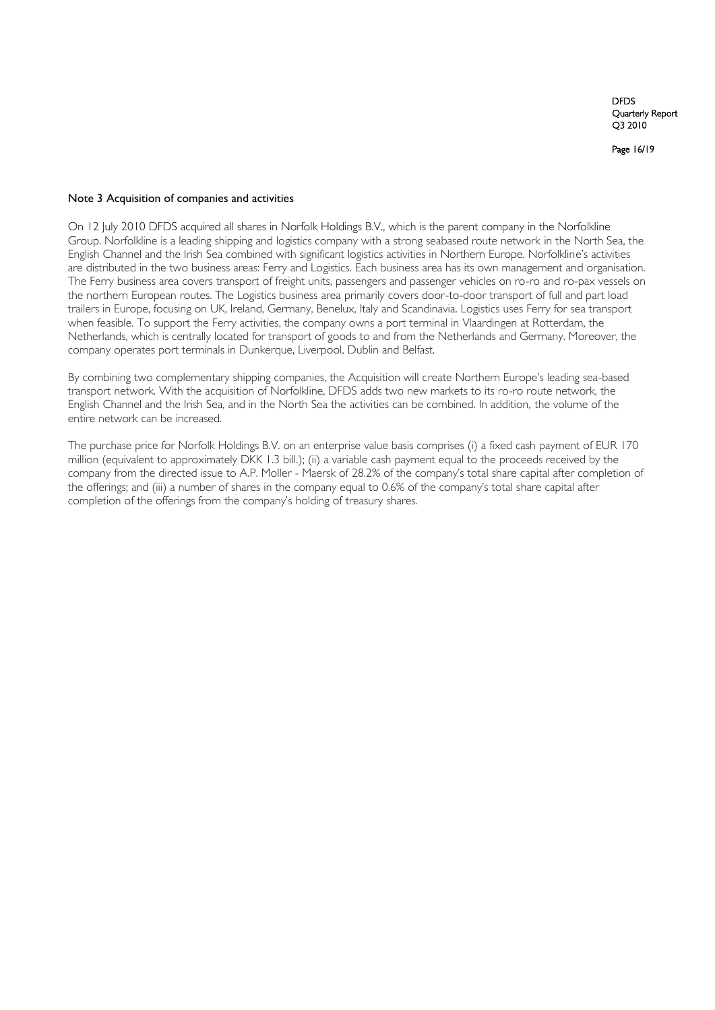Page 16/19

#### Note 3 Acquisition of companies and activities

On 12 July 2010 DFDS acquired all shares in Norfolk Holdings B.V., which is the parent company in the Norfolkline Group. Norfolkline is a leading shipping and logistics company with a strong seabased route network in the North Sea, the English Channel and the Irish Sea combined with significant logistics activities in Northern Europe. Norfolkline"s activities are distributed in the two business areas: Ferry and Logistics. Each business area has its own management and organisation. The Ferry business area covers transport of freight units, passengers and passenger vehicles on ro-ro and ro-pax vessels on the northern European routes. The Logistics business area primarily covers door-to-door transport of full and part load trailers in Europe, focusing on UK, Ireland, Germany, Benelux, Italy and Scandinavia. Logistics uses Ferry for sea transport when feasible. To support the Ferry activities, the company owns a port terminal in Vlaardingen at Rotterdam, the Netherlands, which is centrally located for transport of goods to and from the Netherlands and Germany. Moreover, the company operates port terminals in Dunkerque, Liverpool, Dublin and Belfast.

By combining two complementary shipping companies, the Acquisition will create Northern Europe's leading sea-based transport network. With the acquisition of Norfolkline, DFDS adds two new markets to its ro-ro route network, the English Channel and the Irish Sea, and in the North Sea the activities can be combined. In addition, the volume of the entire network can be increased.

The purchase price for Norfolk Holdings B.V. on an enterprise value basis comprises (i) a fixed cash payment of EUR 170 million (equivalent to approximately DKK 1.3 bill.); (ii) a variable cash payment equal to the proceeds received by the company from the directed issue to A.P. Moller - Maersk of 28.2% of the company"s total share capital after completion of the offerings; and (iii) a number of shares in the company equal to 0.6% of the company's total share capital after completion of the offerings from the company"s holding of treasury shares.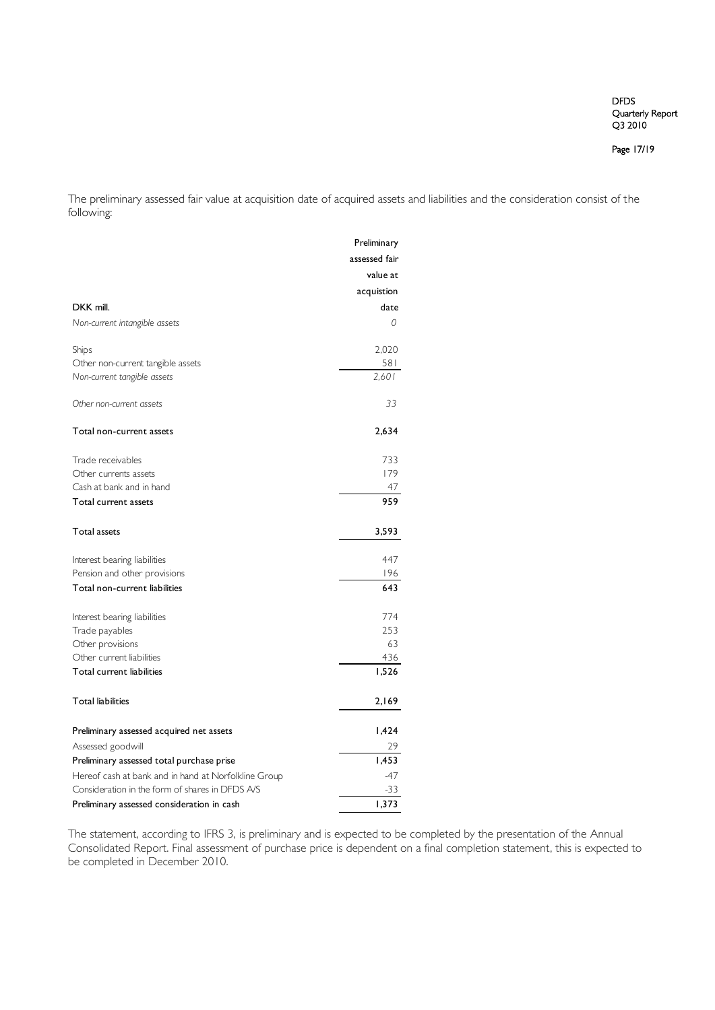Page 17/19

The preliminary assessed fair value at acquisition date of acquired assets and liabilities and the consideration consist of the following:

|                                                      | Preliminary   |
|------------------------------------------------------|---------------|
|                                                      | assessed fair |
|                                                      | value at      |
|                                                      | acquistion    |
| DKK mill.                                            | date          |
| Non-current intangible assets                        | 0             |
| Ships                                                | 2,020         |
| Other non-current tangible assets                    | 581           |
| Non-current tangible assets                          | 2,601         |
| Other non-current assets                             | 33            |
| Total non-current assets                             | 2,634         |
| Trade receivables                                    | 733           |
| Other currents assets                                | 179           |
| Cash at bank and in hand                             | 47            |
| Total current assets                                 | 959           |
| <b>Total assets</b>                                  | 3,593         |
| Interest bearing liabilities                         | 447           |
| Pension and other provisions                         | 196           |
| Total non-current liabilities                        | 643           |
| Interest bearing liabilities                         | 774           |
| Trade payables                                       | 253           |
| Other provisions                                     | 63            |
| Other current liabilities                            | 436           |
| Total current liabilities                            | 1,526         |
| <b>Total liabilities</b>                             | 2,169         |
| Preliminary assessed acquired net assets             | 1,424         |
| Assessed goodwill                                    | 29            |
| Preliminary assessed total purchase prise            | 1,453         |
| Hereof cash at bank and in hand at Norfolkline Group | $-47$         |
| Consideration in the form of shares in DFDS A/S      | $-33$         |
| Preliminary assessed consideration in cash           | 1,373         |

The statement, according to IFRS 3, is preliminary and is expected to be completed by the presentation of the Annual Consolidated Report. Final assessment of purchase price is dependent on a final completion statement, this is expected to be completed in December 2010.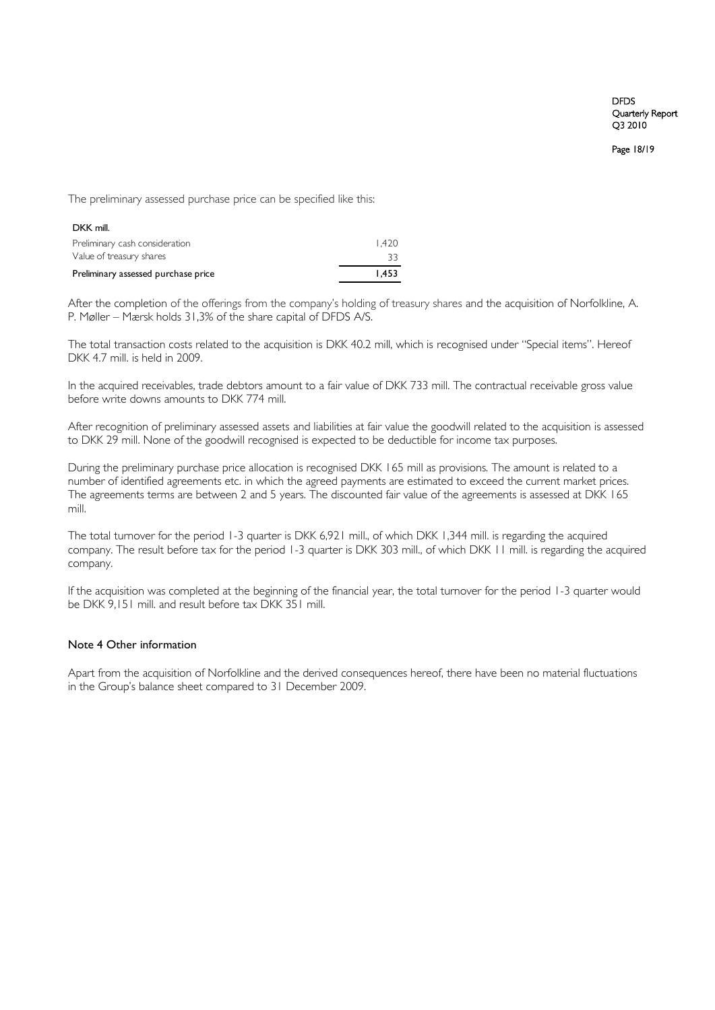Page 18/19

The preliminary assessed purchase price can be specified like this:

| DKK mill.                           |       |
|-------------------------------------|-------|
| Preliminary cash consideration      | 1.420 |
| Value of treasury shares            | 33    |
| Preliminary assessed purchase price | 1.453 |

After the completion of the offerings from the company"s holding of treasury shares and the acquisition of Norfolkline, A. P. Møller – Mærsk holds 31,3% of the share capital of DFDS A/S.

The total transaction costs related to the acquisition is DKK 40.2 mill, which is recognised under "Special items". Hereof DKK 4.7 mill. is held in 2009.

In the acquired receivables, trade debtors amount to a fair value of DKK 733 mill. The contractual receivable gross value before write downs amounts to DKK 774 mill.

After recognition of preliminary assessed assets and liabilities at fair value the goodwill related to the acquisition is assessed to DKK 29 mill. None of the goodwill recognised is expected to be deductible for income tax purposes.

During the preliminary purchase price allocation is recognised DKK 165 mill as provisions. The amount is related to a number of identified agreements etc. in which the agreed payments are estimated to exceed the current market prices. The agreements terms are between 2 and 5 years. The discounted fair value of the agreements is assessed at DKK 165 mill.

The total turnover for the period 1-3 quarter is DKK 6,921 mill., of which DKK 1,344 mill. is regarding the acquired company. The result before tax for the period 1-3 quarter is DKK 303 mill., of which DKK 11 mill. is regarding the acquired company.

If the acquisition was completed at the beginning of the financial year, the total turnover for the period 1-3 quarter would be DKK 9,151 mill. and result before tax DKK 351 mill.

### Note 4 Other information

Apart from the acquisition of Norfolkline and the derived consequences hereof, there have been no material fluctuations in the Group"s balance sheet compared to 31 December 2009.